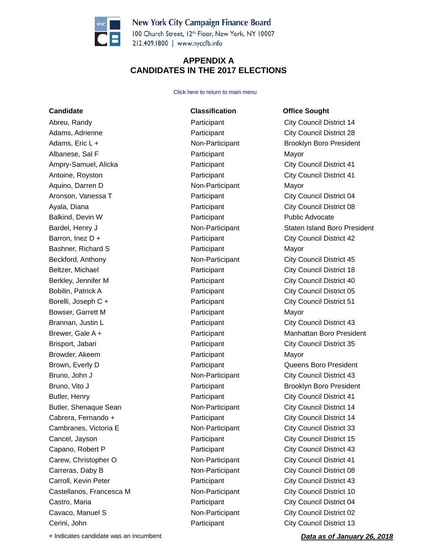

100 Church Street, 12th Floor, New York, NY 10007 212.409.1800 | www.nyccfb.info

### **APPENDIX A CANDIDATES IN THE 2017 ELECTIONS**

### Click here to return to main menu

**Candidate Classification Office Sought** Abreu, Randy **Participant** Participant City Council District 14 Adams, Adrienne **Participant** Participant City Council District 28 Adams, Eric L + The Research Contract Contract Contract Contract Contract Contract Contract Contract Contract Contract Contract Contract Contract Contract Contract Contract Contract Contract Contract Contract Contract Cont Albanese, Sal F **Participant** Participant Mayor Ampry-Samuel, Alicka **Participant** Participant City Council District 41 Antoine, Royston **Participant** Participant City Council District 41 Aquino, Darren D **Non-Participant** Mayor Aronson, Vanessa T **Participant** Participant City Council District 04 Ayala, Diana **Participant** Participant City Council District 08 Balkind, Devin W **Participant** Public Advocate Public Advocate Barron, Inez D + The City Council District 42 Bashner, Richard S **Participant** Participant Mayor Beckford, Anthony **Non-Participant** City Council District 45 Beltzer, Michael **Participant** Participant City Council District 18 Berkley, Jennifer M **Participant** Participant City Council District 40 Bobilin, Patrick A **Participant** Participant City Council District 05 Borelli, Joseph C + **Participant** City Council District 51 Bowser, Garrett M **Participant** Participant Mayor Brannan, Justin L<br> **Brannan, Justin L** Participant City Council District 43 Brisport, Jabari Participant City Council District 35 Browder, Akeem **Participant** Participant Mayor Brown, Everly D **Participant** Participant **Constructs** Queens Boro President Bruno, John J **Non-Participant** City Council District 43 Bruno, Vito J **Participant** Brooklyn Boro President Butler, Henry **Participant** Participant City Council District 41 Butler, Shenaque Sean **Non-Participant** City Council District 14 Cabrera, Fernando + Participant City Council District 14 Cambranes, Victoria E Non-Participant City Council District 33 Cancel, Jayson Participant City Council District 15 Capano, Robert P **Participant** Participant City Council District 43 Carew, Christopher O **Non-Participant** City Council District 41 Carreras, Daby B Non-Participant City Council District 08 Carroll, Kevin Peter Participant City Council District 43 Castellanos, Francesca M Non-Participant City Council District 10 Castro, Maria Participant City Council District 04 Cavaco, Manuel S **Non-Participant** City Council District 02 Cerini, John Participant City Council District 13

Bardel, Henry J **Non-Participant** Staten Island Boro President Brewer, Gale A + The Participant Manhattan Boro President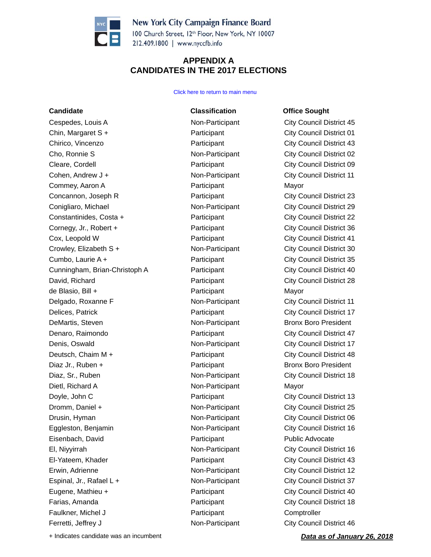

100 Church Street, 12th Floor, New York, NY 10007 212.409.1800 | www.nyccfb.info

### **APPENDIX A CANDIDATES IN THE 2017 ELECTIONS**

Click here to return to main menu

# **Candidate Classification Office Sought** Cespedes, Louis A Non-Participant City Council District 45 Chin, Margaret S + Participant City Council District 01 Chirico, Vincenzo Participant City Council District 43 Cho, Ronnie S Non-Participant City Council District 02 Cleare, Cordell Participant City Council District 09 Cohen, Andrew J + Non-Participant City Council District 11 Commey, Aaron A Participant Mayor Concannon, Joseph R Participant City Council District 23 Conigliaro, Michael Non-Participant City Council District 29 Constantinides, Costa + Participant City Council District 22 Cornegy, Jr., Robert + Participant City Council District 36 Cox, Leopold W Participant City Council District 41 Crowley, Elizabeth S + Non-Participant City Council District 30 Cumbo, Laurie A + Participant City Council District 35 Cunningham, Brian-Christoph A **Participant** Participant City Council District 40 David, Richard Participant City Council District 28 de Blasio, Bill + Participant Mayor Delgado, Roxanne F Non-Participant City Council District 11 Delices, Patrick Participant City Council District 17 DeMartis, Steven **Non-Participant** Bronx Boro President Denaro, Raimondo Participant City Council District 47 Denis, Oswald **Non-Participant** City Council District 17 Deutsch, Chaim M + Terroric Participant City Council District 48 Diaz Jr., Ruben + The Participant Bronx Boro President Diaz, Sr., Ruben Non-Participant City Council District 18 Dietl, Richard A Non-Participant Mayor Doyle, John C **Participant** Participant City Council District 13 Dromm, Daniel + Non-Participant City Council District 25 Drusin, Hyman **Non-Participant** City Council District 06 Eggleston, Benjamin **Non-Participant** City Council District 16 Eisenbach, David Participant Public Advocate El, Niyyirrah Non-Participant City Council District 16 El-Yateem, Khader **Participant** Participant City Council District 43 Erwin, Adrienne **Non-Participant** City Council District 12 Espinal, Jr., Rafael L + Non-Participant City Council District 37 Eugene, Mathieu + The Participant City Council District 40 Farias, Amanda **Participant** Participant City Council District 18 Faulkner, Michel J **Participant** Comptroller Ferretti, Jeffrey J **Non-Participant** City Council District 46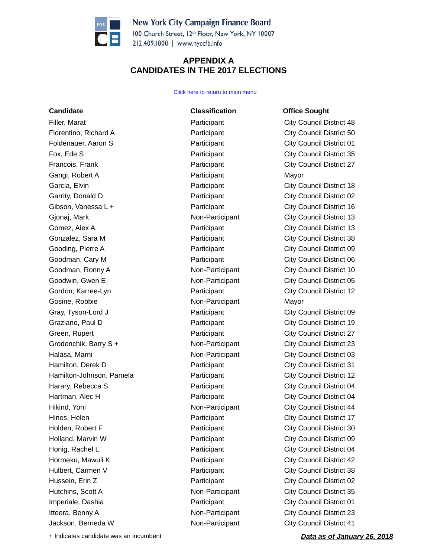

100 Church Street, 12th Floor, New York, NY 10007 212.409.1800 | www.nyccfb.info

### **APPENDIX A CANDIDATES IN THE 2017 ELECTIONS**

Click here to return to main menu

**Candidate Classification Office Sought** Filler, Marat **Participant** Participant City Council District 48 Florentino, Richard A **Participant** Participant City Council District 50 Foldenauer, Aaron S **Participant** Participant City Council District 01 Fox, Ede S **Participant** City Council District 35 Francois, Frank Participant City Council District 27 Gangi, Robert A **Participant** Participant Mayor Garcia, Elvin **City Council District 18** Participant City Council District 18 Garrity, Donald D **City Council District 02** Participant City Council District 02 Gibson, Vanessa L + **Participant** City Council District 16 Gjonaj, Mark **Non-Participant** City Council District 13 Gomez, Alex A **Participant** City Council District 13 Gonzalez, Sara M **Participant** Participant City Council District 38 Gooding, Pierre A **Participant** City Council District 09 Goodman, Cary M **Participant** Participant City Council District 06 Goodman, Ronny A **Non-Participant** City Council District 10 Goodwin, Gwen E **Non-Participant** City Council District 05 Gordon, Karree-Lyn **City Council District 12** Participant City Council District 12 Gosine, Robbie **Non-Participant** Mayor Gray, Tyson-Lord J **Participant** Participant City Council District 09 Graziano, Paul D **City Council District 19** Participant City Council District 19 Green, Rupert **City Council District 27 Participant** City Council District 27 Grodenchik, Barry S + Non-Participant City Council District 23 Halasa, Marni **Non-Participant** City Council District 03 Hamilton, Derek D **Participant** Participant City Council District 31 Hamilton-Johnson, Pamela **Participant** Participant City Council District 12 Harary, Rebecca S **Participant** Participant City Council District 04 Hartman, Alec H **Participant** Participant City Council District 04 Hikind, Yoni Non-Participant City Council District 44 Hines, Helen **Participant** Participant City Council District 17 Holden, Robert F **Participant** Participant City Council District 30 Holland, Marvin W **Participant** Participant City Council District 09 Honig, Rachel L **Participant** City Council District 04 Hormeku, Mawuli K **Now Accord City Council District 42** Participant City Council District 42 Hulbert, Carmen V **Participant** City Council District 38 Hussein, Erin Z **Participant** Participant City Council District 02 Hutchins, Scott A Non-Participant City Council District 35 Imperiale, Dashia **Participant** Participant City Council District 01 Itteera, Benny A Non-Participant City Council District 23 Jackson, Berneda W Non-Participant City Council District 41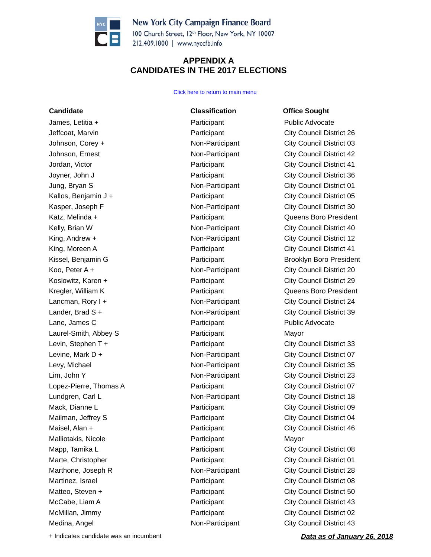

100 Church Street, 12th Floor, New York, NY 10007 212.409.1800 | www.nyccfb.info

### **APPENDIX A CANDIDATES IN THE 2017 ELECTIONS**

Click here to return to main menu

# **Candidate Classification Office Sought** James, Letitia + The Participant Public Advocate Public Advocate Jeffcoat, Marvin Participant City Council District 26 Johnson, Corey + Non-Participant City Council District 03 Johnson, Ernest Non-Participant City Council District 42 Jordan, Victor Participant City Council District 41 Joyner, John J Participant City Council District 36 Jung, Bryan S Non-Participant City Council District 01 Kallos, Benjamin J + **Participant** City Council District 05 Kasper, Joseph F **Non-Participant** City Council District 30 Katz, Melinda + The Participant Communication Communication Communication Communication Communication Communication Communication Communication Communication Communication Communication Communication Communication Communic Kelly, Brian W **Non-Participant** City Council District 40 King, Andrew + The City Council District 12 King, Moreen A **Participant** Participant City Council District 41 Kissel, Benjamin G **Participant** Participant Brooklyn Boro President Koo, Peter A +  $\blacksquare$  Non-Participant City Council District 20 Koslowitz, Karen + The City Council District 29 Kregler, William K **Participant** Participant **Constructs** Queens Boro President Lancman, Rory I + The City Council District 24 Lander, Brad S + The City Council District 39 Lane, James C **Participant** Public Advocate Public Advocate Laurel-Smith, Abbey S **Participant** Mayor Levin, Stephen T + The City Council District 33 Levine, Mark D +  $\blacksquare$  Non-Participant City Council District 07 Levy, Michael **Non-Participant** City Council District 35 Lim, John Y Non-Participant City Council District 23 Lopez-Pierre, Thomas A **Participant** Participant City Council District 07 Lundgren, Carl L **Non-Participant** City Council District 18 Mack, Dianne L<br>
Participant City Council District 09 Mailman, Jeffrey S **Participant** Participant City Council District 04 Maisel, Alan + The City Council District 46 Malliotakis, Nicole **Participant** Participant Mayor Mapp, Tamika L **Participant** Participant City Council District 08 Marte, Christopher **Participant** Participant City Council District 01 Marthone, Joseph R **Non-Participant** City Council District 28 Martinez, Israel **Participant** Participant City Council District 08 Matteo, Steven + The City Council District 50 McCabe, Liam A **Participant** Participant City Council District 43 McMillan, Jimmy **Participant** Participant City Council District 02 Medina, Angel Non-Participant City Council District 43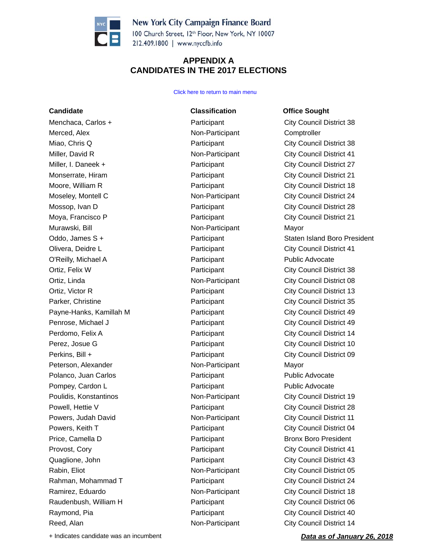

100 Church Street, 12th Floor, New York, NY 10007 212.409.1800 | www.nyccfb.info

### **APPENDIX A CANDIDATES IN THE 2017 ELECTIONS**

Click here to return to main menu

**Candidate Classification Office Sought** Menchaca, Carlos + The Participant City Council District 38 Merced, Alex **Non-Participant** Comptroller Miao, Chris Q **Participant** City Council District 38 Miller, David R Non-Participant City Council District 41 Miller, I. Daneek + **Participant** City Council District 27 Monserrate, Hiram **Participant** Participant City Council District 21 Moore, William R **Participant** Participant City Council District 18 Moseley, Montell C Non-Participant City Council District 24 Mossop, Ivan D **Participant** Participant City Council District 28 Moya, Francisco P **Participant** Participant City Council District 21 Murawski, Bill Non-Participant Mayor Olivera, Deidre L Participant City Council District 41 O'Reilly, Michael A **Participant** Public Advocate Public Advocate Ortiz, Felix W **Participant** City Council District 38 Ortiz, Linda Non-Participant City Council District 08 Ortiz, Victor R **Participant** City Council District 13 Parker, Christine **Participant** Participant City Council District 35 Payne-Hanks, Kamillah M **Participant** Participant City Council District 49 Penrose, Michael J **Participant** Participant City Council District 49 Perdomo, Felix A **Participant** Participant City Council District 14 Perez, Josue G **Participant** City Council District 10 Perkins, Bill + **Participant** Participant City Council District 09 Peterson, Alexander Non-Participant Mayor Polanco, Juan Carlos **Participant** Public Advocate Pompey, Cardon L **Participant** Public Advocate Public Advocate Poulidis, Konstantinos Non-Participant City Council District 19 Powell, Hettie V **Participant** Participant City Council District 28 Powers, Judah David **Non-Participant** City Council District 11 Powers, Keith T **Participant** Participant City Council District 04 Price, Camella D **Participant** Price, Camella D **Participant** Bronx Boro President Provost, Cory **Participant** Provost, Cory Participant City Council District 41 Quaglione, John Participant City Council District 43 Rabin, Eliot **Non-Participant** City Council District 05 Rahman, Mohammad T **Participant** Participant City Council District 24 Ramirez, Eduardo **Non-Participant** City Council District 18 Raudenbush, William H **Participant** Participant City Council District 06 Raymond, Pia **Participant** Participant City Council District 40 Reed, Alan Non-Participant City Council District 14

Oddo, James S + The Participant Coddo, James S + The Staten Island Boro President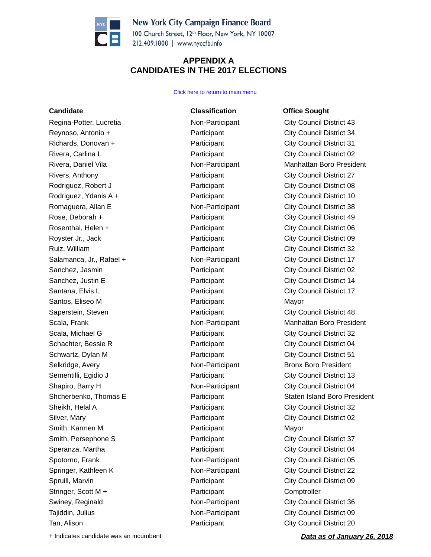

100 Church Street, 12th Floor, New York, NY 10007 212.409.1800 | www.nyccfb.info

### **APPENDIX A CANDIDATES IN THE 2017 ELECTIONS**

### Click here to return to main menu

Regina-Potter, Lucretia **Non-Participant** City Council District 43 Reynoso, Antonio + **Participant City Council District 34** Richards, Donovan + **Participant** Participant City Council District 31 Rivera, Carlina L **Rivera, Carlina L Participant** City Council District 02 Rivers, Anthony **Participant** Participant City Council District 27 Rodriguez, Robert J **Participant** Participant City Council District 08 Rodriguez, Ydanis A +  $\qquad \qquad$  Participant 
City Council District 10 Romaguera, Allan E **Non-Participant** City Council District 38 Rose, Deborah +  $\overline{P}$  Participant  $\overline{P}$  Participant

City Council District 49 Rosenthal, Helen + The Participant City Council District 06 Royster Jr., Jack **No. 2018 Participant** City Council District 09 Ruiz, William **Network** Participant City Council District 32 Salamanca, Jr., Rafael + The Non-Participant City Council District 17 Sanchez, Jasmin **Example 2** Participant City Council District 02 Sanchez, Justin E **Participant** Participant City Council District 14 Santana, Elvis L<br>
Participant City Council District 17 Santos, Eliseo M **Participant** Participant Mayor Saperstein, Steven **Participant** Participant City Council District 48 Scala, Michael G **Participant** City Council District 32 Schachter, Bessie R **Participant** Participant City Council District 04 Schwartz, Dylan M **Participant** Participant City Council District 51 Selkridge, Avery Non-Participant Bronx Boro President Sementilli, Egidio J **Participant** City Council District 13 Shapiro, Barry H **Non-Participant** City Council District 04 Sheikh, Helal A **Participant** Participant City Council District 32 Silver, Mary **Participant** Participant City Council District 02 Smith, Karmen M **Participant** Participant Mayor Smith, Persephone S **Participant** City Council District 37 Speranza, Martha **National Speranza, Martha City Council District 04** Participant City Council District 04 Spotorno, Frank **Non-Participant** City Council District 05 Springer, Kathleen K **Non-Participant** City Council District 22 Spruill, Marvin **Participant** Participant City Council District 09 Stringer, Scott M + The Participant Comptroller Swiney, Reginald **Non-Participant** City Council District 36 Tajiddin, Julius **Non-Participant** City Council District 09 Tan, Alison **Participant** City Council District 20

**Candidate Classification Office Sought**

Rivera, Daniel Vila Non-Participant Manhattan Boro President Scala, Frank **Non-Participant** Manhattan Boro President Shcherbenko, Thomas E **Participant** Participant Staten Island Boro President